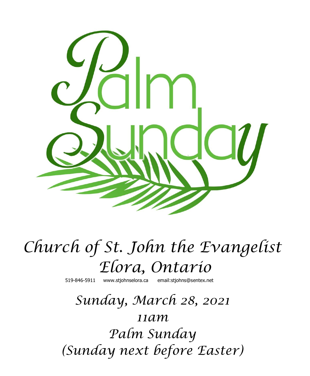

# *Church of St. John the Evangelist Elora, Ontario*

519-846-5911 [www.stjohnselora.ca email:stjohns@sentex.net](http://www.stjohnselora.ca%20%20%20%20%20%20email:stjohns@sentex.net)

# *Sunday, March 28, 2021 11am Palm Sunday (Sunday next before Easter)*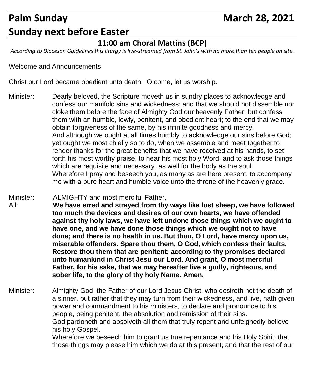# Palm Sunday **March 28, 2021 Sunday next before Easter**

### **11:00 am Choral Mattins (BCP)**

*According to Diocesan Guidelines this liturgy is live-streamed from St. John's with no more than ten people on site.*

Welcome and Announcements

Christ our Lord became obedient unto death: O come, let us worship.

- Minister: Dearly beloved, the Scripture moveth us in sundry places to acknowledge and confess our manifold sins and wickedness; and that we should not dissemble nor cloke them before the face of Almighty God our heavenly Father; but confess them with an humble, lowly, penitent, and obedient heart; to the end that we may obtain forgiveness of the same, by his infinite goodness and mercy. And although we ought at all times humbly to acknowledge our sins before God; yet ought we most chiefly so to do, when we assemble and meet together to render thanks for the great benefits that we have received at his hands, to set forth his most worthy praise, to hear his most holy Word, and to ask those things which are requisite and necessary, as well for the body as the soul. Wherefore I pray and beseech you, as many as are here present, to accompany me with a pure heart and humble voice unto the throne of the heavenly grace.
- Minister: ALMIGHTY and most merciful Father, All: **We have erred and strayed from thy ways like lost sheep, we have followed too much the devices and desires of our own hearts, we have offended against thy holy laws, we have left undone those things which we ought to have one, and we have done those things which we ought not to have done; and there is no health in us. But thou, O Lord, have mercy upon us, miserable offenders. Spare thou them, O God, which confess their faults. Restore thou them that are penitent; according to thy promises declared unto humankind in Christ Jesu our Lord. And grant, O most merciful Father, for his sake, that we may hereafter live a godly, righteous, and sober life, to the glory of thy holy Name. Amen.**

Minister: Almighty God, the Father of our Lord Jesus Christ, who desireth not the death of a sinner, but rather that they may turn from their wickedness, and live, hath given power and commandment to his ministers, to declare and pronounce to his people, being penitent, the absolution and remission of their sins. God pardoneth and absolveth all them that truly repent and unfeignedly believe his holy Gospel. Wherefore we beseech him to grant us true repentance and his Holy Spirit, that those things may please him which we do at this present, and that the rest of our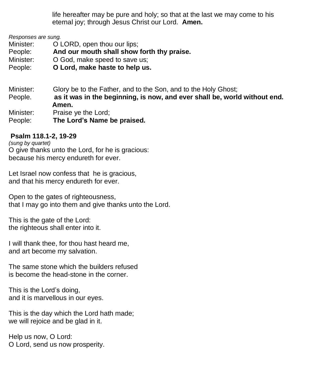life hereafter may be pure and holy; so that at the last we may come to his eternal joy; through Jesus Christ our Lord. **Amen.**

*Responses are sung.*

Minister: **O LORD**, open thou our lips:

People: **And our mouth shall show forth thy praise.**

Minister:  $O God.$  make speed to save us:

People: **O Lord, make haste to help us.**

Minister: Glory be to the Father, and to the Son, and to the Holy Ghost; People. **as it was in the beginning, is now, and ever shall be, world without end. Amen.** Minister: Praise ye the Lord;

People: **The Lord's Name be praised.**

#### **Psalm 118.1-2, 19-29**

*(sung by quartet)* O give thanks unto the Lord, for he is gracious: because his mercy endureth for ever.

Let Israel now confess that he is gracious, and that his mercy endureth for ever.

Open to the gates of righteousness, that I may go into them and give thanks unto the Lord.

This is the gate of the Lord: the righteous shall enter into it.

I will thank thee, for thou hast heard me, and art become my salvation.

The same stone which the builders refused is become the head-stone in the corner.

This is the Lord's doing, and it is marvellous in our eyes.

This is the day which the Lord hath made; we will rejoice and be glad in it.

Help us now, O Lord: O Lord, send us now prosperity.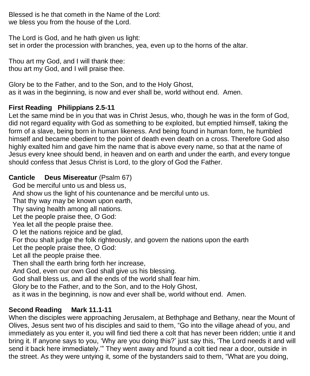Blessed is he that cometh in the Name of the Lord: we bless you from the house of the Lord.

The Lord is God, and he hath given us light: set in order the procession with branches, yea, even up to the horns of the altar.

Thou art my God, and I will thank thee: thou art my God, and I will praise thee.

Glory be to the Father, and to the Son, and to the Holy Ghost, as it was in the beginning, is now and ever shall be, world without end. Amen.

### **First Reading Philippians 2.5-11**

Let the same mind be in you that was in Christ Jesus, who, though he was in the form of God, did not regard equality with God as something to be exploited, but emptied himself, taking the form of a slave, being born in human likeness. And being found in human form, he humbled himself and became obedient to the point of death even death on a cross. Therefore God also highly exalted him and gave him the name that is above every name, so that at the name of Jesus every knee should bend, in heaven and on earth and under the earth, and every tongue should confess that Jesus Christ is Lord, to the glory of God the Father.

#### **Canticle Deus Misereatur** (Psalm 67)

God be merciful unto us and bless us,

And show us the light of his countenance and be merciful unto us.

That thy way may be known upon earth,

Thy saving health among all nations.

Let the people praise thee, O God:

Yea let all the people praise thee.

O let the nations rejoice and be glad,

For thou shalt judge the folk righteously, and govern the nations upon the earth

Let the people praise thee, O God:

Let all the people praise thee.

Then shall the earth bring forth her increase,

And God, even our own God shall give us his blessing.

God shall bless us, and all the ends of the world shall fear him.

Glory be to the Father, and to the Son, and to the Holy Ghost,

as it was in the beginning, is now and ever shall be, world without end. Amen.

#### **Second Reading Mark 11.1-11**

When the disciples were approaching Jerusalem, at Bethphage and Bethany, near the Mount of Olives, Jesus sent two of his disciples and said to them, "Go into the village ahead of you, and immediately as you enter it, you will find tied there a colt that has never been ridden; untie it and bring it. If anyone says to you, 'Why are you doing this?' just say this, 'The Lord needs it and will send it back here immediately.'" They went away and found a colt tied near a door, outside in the street. As they were untying it, some of the bystanders said to them, "What are you doing,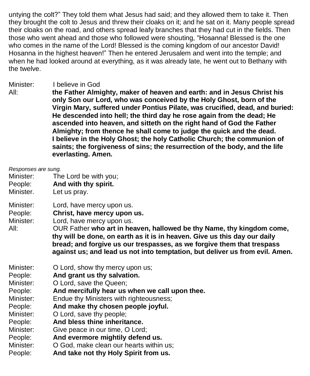untying the colt?" They told them what Jesus had said; and they allowed them to take it. Then they brought the colt to Jesus and threw their cloaks on it; and he sat on it. Many people spread their cloaks on the road, and others spread leafy branches that they had cut in the fields. Then those who went ahead and those who followed were shouting, "Hosanna! Blessed is the one who comes in the name of the Lord! Blessed is the coming kingdom of our ancestor David! Hosanna in the highest heaven!" Then he entered Jerusalem and went into the temple; and when he had looked around at everything, as it was already late, he went out to Bethany with the twelve.

- Minister: I believe in God
- 
- All: **the Father Almighty, maker of heaven and earth: and in Jesus Christ his only Son our Lord, who was conceived by the Holy Ghost, born of the Virgin Mary, suffered under Pontius Pilate, was crucified, dead, and buried: He descended into hell; the third day he rose again from the dead; He ascended into heaven, and sitteth on the right hand of God the Father Almighty; from thence he shall come to judge the quick and the dead. I believe in the Holy Ghost; the holy Catholic Church; the communion of saints; the forgiveness of sins; the resurrection of the body, and the life everlasting. Amen.**

| Responses are sung.<br>Minister:<br>People:<br>Minister.                                                             | The Lord be with you;<br>And with thy spirit.<br>Let us pray.                                                                                                                                                                                                                                                                                                                                         |
|----------------------------------------------------------------------------------------------------------------------|-------------------------------------------------------------------------------------------------------------------------------------------------------------------------------------------------------------------------------------------------------------------------------------------------------------------------------------------------------------------------------------------------------|
| Minister:<br>People:<br>Minister:<br>All:                                                                            | Lord, have mercy upon us.<br>Christ, have mercy upon us.<br>Lord, have mercy upon us.<br>OUR Father who art in heaven, hallowed be thy Name, thy kingdom come,<br>thy will be done, on earth as it is in heaven. Give us this day our daily<br>bread; and forgive us our trespasses, as we forgive them that trespass<br>against us; and lead us not into temptation, but deliver us from evil. Amen. |
| Minister:<br>People:<br>Minister:<br>People:<br>Minister:<br>People:<br>Minister:<br>People:<br>Minister:<br>People: | O Lord, show thy mercy upon us;<br>And grant us thy salvation.<br>O Lord, save the Queen;<br>And mercifully hear us when we call upon thee.<br>Endue thy Ministers with righteousness;<br>And make thy chosen people joyful.<br>O Lord, save thy people;<br>And bless thine inheritance.<br>Give peace in our time, O Lord;<br>And evermore mightily defend us.                                       |
|                                                                                                                      |                                                                                                                                                                                                                                                                                                                                                                                                       |

- Minister: O God, make clean our hearts within us;
- People: **And take not thy Holy Spirit from us.**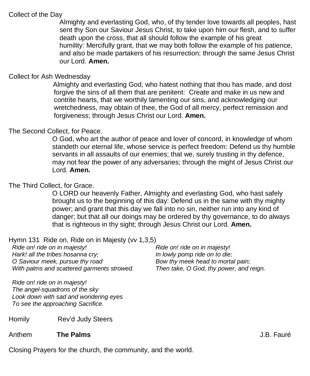#### Collect of the Day

 Almighty and everlasting God, who, of thy tender love towards all peoples, hast sent thy Son our Saviour Jesus Christ, to take upon him our flesh, and to suffer death upon the cross, that all should follow the example of his great humility: Mercifully grant, that we may both follow the example of his patience, and also be made partakers of his resurrection; through the same Jesus Christ our Lord. **Amen.**

#### Collect for Ash Wednesday

Almighty and everlasting God, who hatest nothing that thou has made, and dost forgive the sins of all them that are penitent: Create and make in us new and contrite hearts, that we worthily lamenting our sins, and acknowledging our wretchedness, may obtain of thee, the God of all mercy, perfect remission and forgiveness; through Jesus Christ our Lord. **Amen.**

#### The Second Collect, for Peace.

O God, who art the author of peace and lover of concord, in knowledge of whom standeth our eternal life, whose service is perfect freedom: Defend us thy humble servants in all assaults of our enemies; that we, surely trusting in thy defence, may not fear the power of any adversaries; through the might of Jesus Christ our Lord. **Amen.**

#### The Third Collect, for Grace.

O LORD our heavenly Father, Almighty and everlasting God, who hast safely brought us to the beginning of this day: Defend us in the same with thy mighty power; and grant that this day we fall into no sin, neither run into any kind of danger; but that all our doings may be ordered by thy governance, to do always that is righteous in thy sight; through Jesus Christ our Lord. **Amen.**

#### Hymn 131 Ride on, Ride on in Majesty (vv 1,3,5)

*Ride on! ride on in majesty! Hark! all the tribes hosanna cry; O Saviour meek, pursue thy road With palms and scattered garments strowed.*

*Ride on! ride on in majesty! The angel-squadrons of the sky Look down with sad and wondering eyes To see the approaching Sacrifice.*

Homily Rev'd Judy Steers

Anthem **The Palms** J.B. Fauré

*Ride on! ride on in majesty! In lowly pomp ride on to die; Bow thy meek head to mortal pain; Then take, O God, thy power, and reign.*

Closing Prayers for the church, the community, and the world.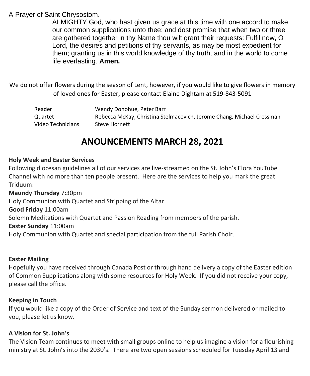#### A Prayer of Saint Chrysostom.

ALMIGHTY God, who hast given us grace at this time with one accord to make our common supplications unto thee; and dost promise that when two or three are gathered together in thy Name thou wilt grant their requests: Fulfil now, O Lord, the desires and petitions of thy servants, as may be most expedient for them; granting us in this world knowledge of thy truth, and in the world to come life everlasting. **Amen.**

We do not offer flowers during the season of Lent, however, if you would like to give flowers in memory of loved ones for Easter, please contact Elaine Dightam at 519-843-5091

| Reader            | Wendy Donohue, Peter Barr                                             |
|-------------------|-----------------------------------------------------------------------|
| Quartet           | Rebecca McKay, Christina Stelmacovich, Jerome Chang, Michael Cressman |
| Video Technicians | Steve Hornett                                                         |

## **ANOUNCEMENTS MARCH 28, 2021**

#### **Holy Week and Easter Services**

Following diocesan guidelines all of our services are live-streamed on the St. John's Elora YouTube Channel with no more than ten people present. Here are the services to help you mark the great Triduum:

**Maundy Thursday** 7:30pm Holy Communion with Quartet and Stripping of the Altar **Good Friday** 11:00am Solemn Meditations with Quartet and Passion Reading from members of the parish. **Easter Sunday** 11:00am Holy Communion with Quartet and special participation from the full Parish Choir.

#### **Easter Mailing**

Hopefully you have received through Canada Post or through hand delivery a copy of the Easter edition of Common Supplications along with some resources for Holy Week. If you did not receive your copy, please call the office.

#### **Keeping in Touch**

If you would like a copy of the Order of Service and text of the Sunday sermon delivered or mailed to you, please let us know.

#### **A Vision for St. John's**

The Vision Team continues to meet with small groups online to help us imagine a vision for a flourishing ministry at St. John's into the 2030's. There are two open sessions scheduled for Tuesday April 13 and